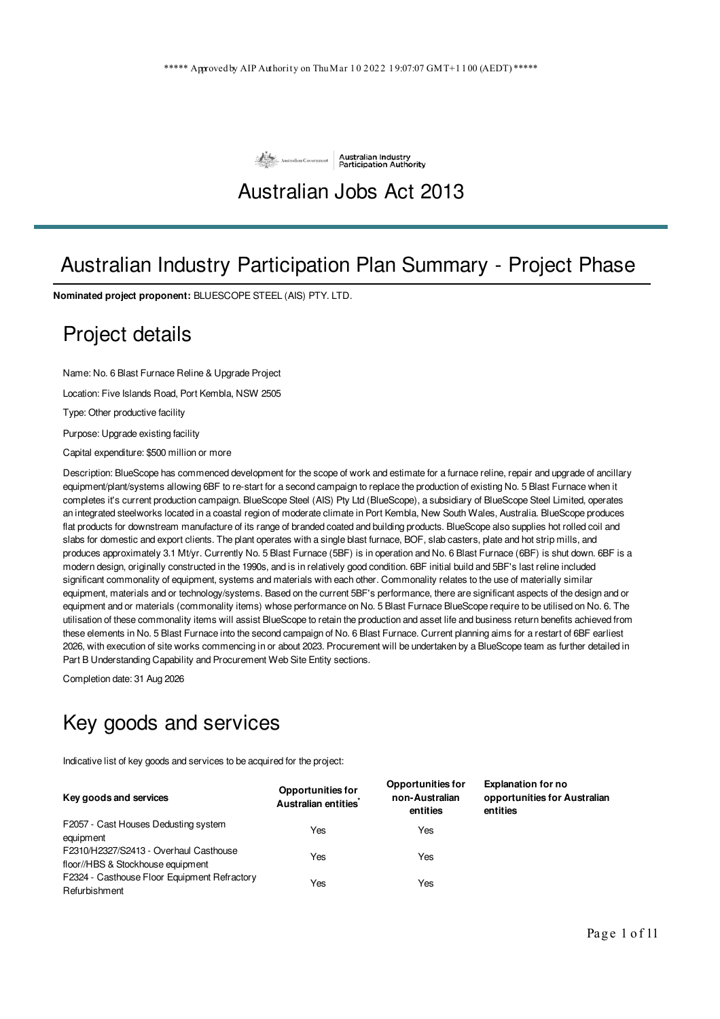

### Australian Jobs Act 2013

## Australian Industry Participation Plan Summary - Project Phase

**Nominated project proponent:** BLUESCOPE STEEL (AIS) PTY. LTD.

#### Project details

Name: No. 6 Blast Furnace Reline & Upgrade Project

Location: Five Islands Road, Port Kembla, NSW 2505

Type: Other productive facility

Purpose: Upgrade existing facility

Capital expenditure: \$500 million or more

Description: BlueScope has commenced development for the scope of work and estimate for a furnace reline, repair and upgrade of ancillary equipment/plant/systems allowing 6BF to re-start for a second campaign to replace the production of existing No. 5 Blast Furnace when it completes it's current production campaign. BlueScope Steel (AIS) Pty Ltd (BlueScope), a subsidiary of BlueScope Steel Limited, operates an integrated steelworks located in a coastal region of moderate climate in Port Kembla, New South Wales, Australia. BlueScope produces flat products for downstream manufacture of its range of branded coated and building products. BlueScope also supplies hot rolled coil and slabs for domestic and export clients. The plant operates with a single blast furnace, BOF, slab casters, plate and hot strip mills, and produces approximately 3.1 Mt/yr. Currently No. 5 Blast Furnace (5BF) is in operation and No. 6 Blast Furnace (6BF) is shut down. 6BF is a modern design, originally constructed in the 1990s, and is in relatively good condition. 6BF initial build and 5BF's last reline included significant commonality of equipment, systems and materials with each other. Commonality relates to the use of materially similar equipment, materials and or technology/systems. Based on the current 5BF's performance, there are significant aspects of the design and or equipment and or materials (commonality items) whose performance on No. 5 Blast Furnace BlueScope require to be utilised on No. 6. The utilisation of these commonality items will assist BlueScope to retain the production and asset life and business return benefits achieved from these elements in No. 5 Blast Furnace into the second campaign of No. 6 Blast Furnace. Current planning aims for a restart of 6BF earliest 2026, with execution of site works commencing in or about 2023. Procurement will be undertaken by a BlueScope team as further detailed in Part B Understanding Capability and Procurement Web Site Entity sections.

Completion date: 31 Aug 2026

# Key goods and services

Indicative list of key goods and services to be acquired for the project:

| Key goods and services                                                      | <b>Opportunities for</b><br>Australian entities <sup>*</sup> | <b>Opportunities for</b><br>non-Australian<br>entities | <b>Explanation for no</b><br>opportunities for Australian<br>entities |
|-----------------------------------------------------------------------------|--------------------------------------------------------------|--------------------------------------------------------|-----------------------------------------------------------------------|
| F2057 - Cast Houses Dedusting system<br>equipment                           | Yes                                                          | Yes                                                    |                                                                       |
| F2310/H2327/S2413 - Overhaul Casthouse<br>floor//HBS & Stockhouse equipment | Yes                                                          | Yes                                                    |                                                                       |
| F2324 - Casthouse Floor Equipment Refractory<br>Refurbishment               | Yes                                                          | Yes                                                    |                                                                       |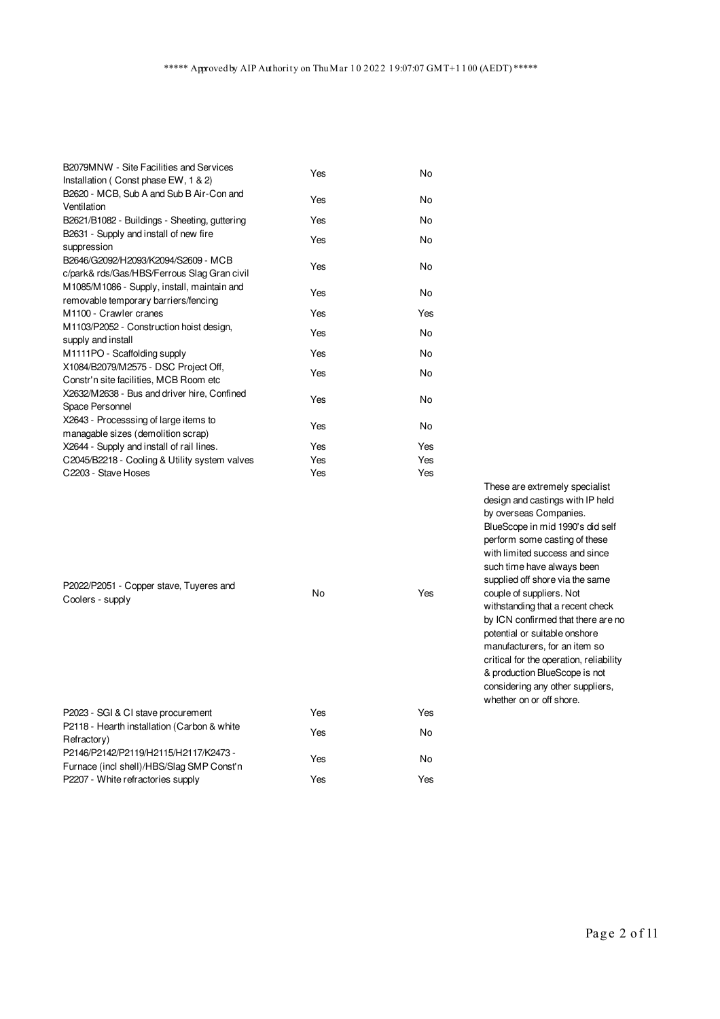| B2079MNW - Site Facilities and Services<br>Installation (Const phase EW, 1 & 2)     | Yes | No. |
|-------------------------------------------------------------------------------------|-----|-----|
| B2620 - MCB, Sub A and Sub B Air-Con and<br>Ventilation                             | Yes | No. |
| B2621/B1082 - Buildings - Sheeting, guttering                                       | Yes | No  |
| B2631 - Supply and install of new fire<br>suppression                               | Yes | No. |
| B2646/G2092/H2093/K2094/S2609 - MCB<br>c/park& rds/Gas/HBS/Ferrous Slag Gran civil  | Yes | No. |
| M1085/M1086 - Supply, install, maintain and<br>removable temporary barriers/fencing | Yes | No  |
| M1100 - Crawler cranes                                                              | Yes | Yes |
| M1103/P2052 - Construction hoist design,<br>supply and install                      | Yes | No. |
| M1111PO - Scaffolding supply                                                        | Yes | No  |
| X1084/B2079/M2575 - DSC Project Off,<br>Constr'n site facilities, MCB Room etc      | Yes | No. |
| X2632/M2638 - Bus and driver hire, Confined<br>Space Personnel                      | Yes | No. |
| X2643 - Processsing of large items to<br>managable sizes (demolition scrap)         | Yes | No. |
| X2644 - Supply and install of rail lines.                                           | Yes | Yes |
| C2045/B2218 - Cooling & Utility system valves                                       | Yes | Yes |
| C2203 - Stave Hoses                                                                 | Yes | Yes |

| P2022/P2051 - Copper stave, Tuyeres and<br>Coolers - supply                                                                                     | No  | Yes |
|-------------------------------------------------------------------------------------------------------------------------------------------------|-----|-----|
| P2023 - SGI & CI stave procurement                                                                                                              | Yes | Yes |
| P2118 - Hearth installation (Carbon & white<br>Refractory)<br>P2146/P2142/P2119/H2115/H2117/K2473-<br>Furnace (incl shell)/HBS/Slag SMP Const'n | Yes | No  |
|                                                                                                                                                 | Yes | No  |
| P2207 - White refractories supply                                                                                                               | Yes | Yes |

These are extremely specialist design and castings with IP held by overseas Companies. BlueScope in mid 1990's did self perform some casting of these with limited success and since such time have always been supplied off shore via the same couple of suppliers. Not withstanding that a recent check by ICN confirmed that there are no potential or suitable onshore manufacturers, for an item so critical for the operation, reliability & production BlueScope is not considering any other suppliers, whether on or off shore.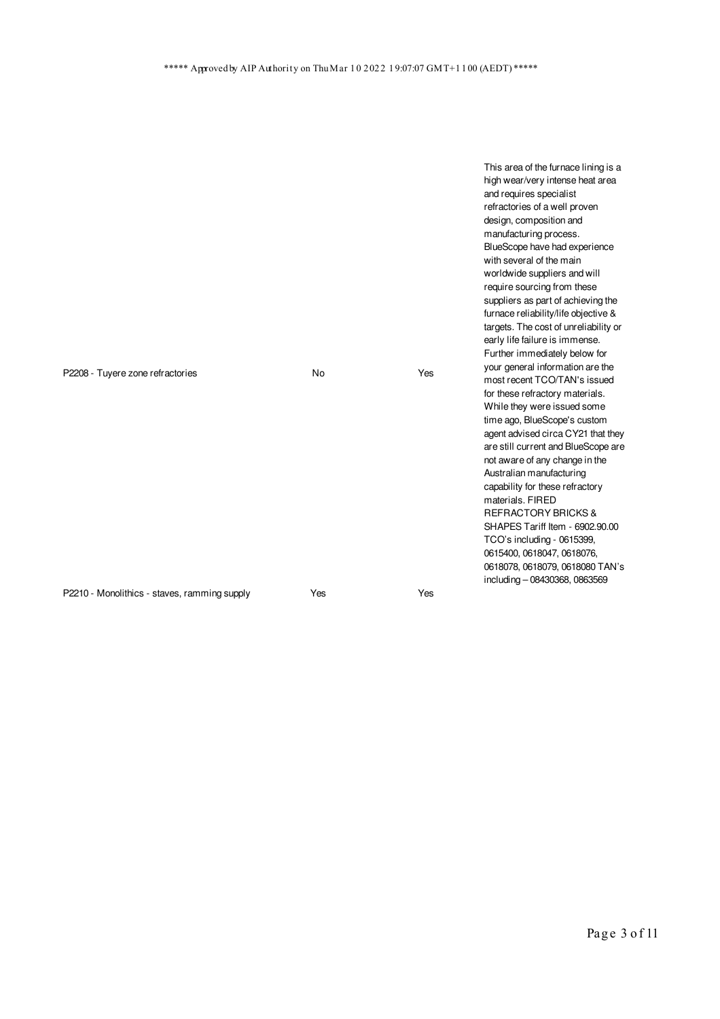This area of the furnace lining is a

|                                              |     |     | high wear/very intense heat area<br>and requires specialist<br>refractories of a well proven<br>design, composition and<br>manufacturing process.<br>BlueScope have had experience<br>with several of the main<br>worldwide suppliers and will<br>require sourcing from these<br>suppliers as part of achieving the<br>furnace reliability/life objective &<br>targets. The cost of unreliability or<br>early life failure is immense.<br>Further immediately below for                                                                  |
|----------------------------------------------|-----|-----|------------------------------------------------------------------------------------------------------------------------------------------------------------------------------------------------------------------------------------------------------------------------------------------------------------------------------------------------------------------------------------------------------------------------------------------------------------------------------------------------------------------------------------------|
| P2208 - Tuyere zone refractories             | No  | Yes | your general information are the<br>most recent TCO/TAN's issued<br>for these refractory materials.<br>While they were issued some<br>time ago, BlueScope's custom<br>agent advised circa CY21 that they<br>are still current and BlueScope are<br>not aware of any change in the<br>Australian manufacturing<br>capability for these refractory<br>materials, FIRED<br><b>REFRACTORY BRICKS &amp;</b><br>SHAPES Tariff Item - 6902.90.00<br>TCO's including - 0615399,<br>0615400, 0618047, 0618076,<br>0618078, 0618079, 0618080 TAN's |
| P2210 - Monolithics - staves, ramming supply | Yes | Yes | including - 08430368, 0863569                                                                                                                                                                                                                                                                                                                                                                                                                                                                                                            |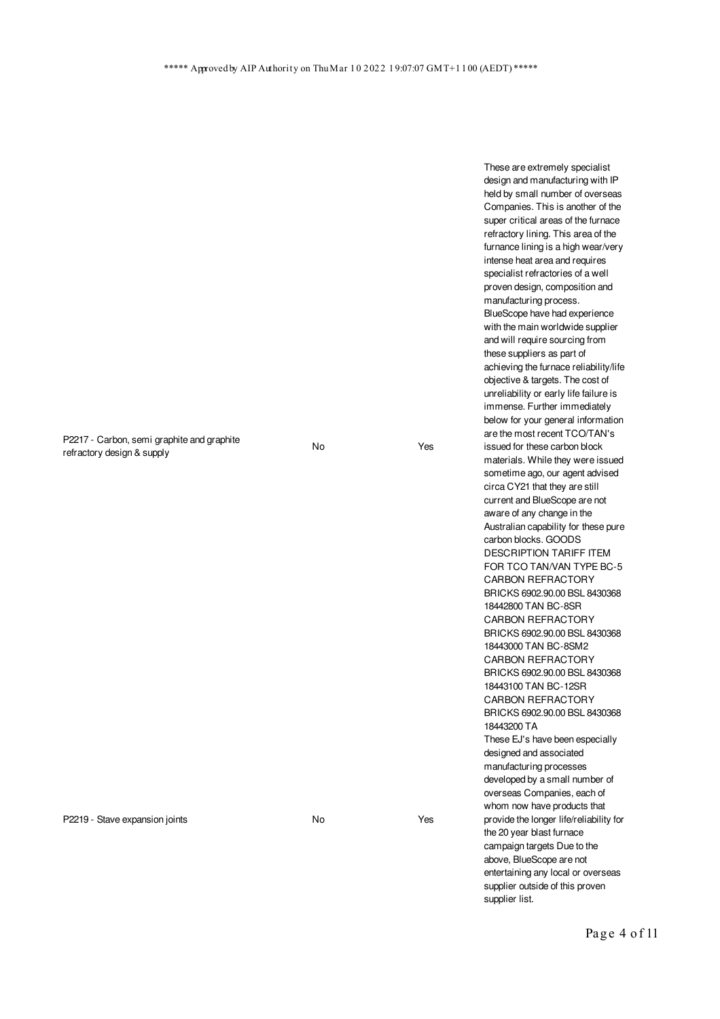P2217 - Carbon, semi graphite and graphite refractory design & supply

No Yes

P2219 - Stave expansion joints No No No Yes

These are extremely specialist design and manufacturing with IP held by small number of overseas Companies. This is another of the super critical areas of the furnace refractory lining. This area of the furnance lining is a high wear/very intense heat area and requires specialist refractories of a well proven design, composition and manufacturing process. BlueScope have had experience with the main worldwide supplier and will require sourcing from these suppliers as part of achieving the furnace reliability/life objective & targets. The cost of unreliability or early life failure is immense. Further immediately below for your general information are the most recent TCO/TAN's issued for these carbon block materials. While they were issued sometime ago, our agent advised circa CY21 that they are still current and BlueScope are not aware of any change in the Australian capability for these pure carbon blocks. GOODS DESCRIPTION TARIFF ITEM FOR TCO TAN/VAN TYPE BC-5 CARBON REFRACTORY BRICKS 6902.90.00 BSL 8430368 18442800 TAN BC-8SR CARBON REFRACTORY BRICKS 6902.90.00 BSL 8430368 18443000 TAN BC-8SM2 CARBON REFRACTORY BRICKS 6902.90.00 BSL 8430368 18443100 TAN BC-12SR CARBON REFRACTORY BRICKS 6902.90.00 BSL 8430368 18443200 TA These EJ's have been especially designed and associated manufacturing processes developed by a small number of overseas Companies, each of whom now have products that provide the longer life/reliability for the 20 year blast furnace campaign targets Due to the above, BlueScope are not entertaining any local or overseas supplier outside of this proven supplier list.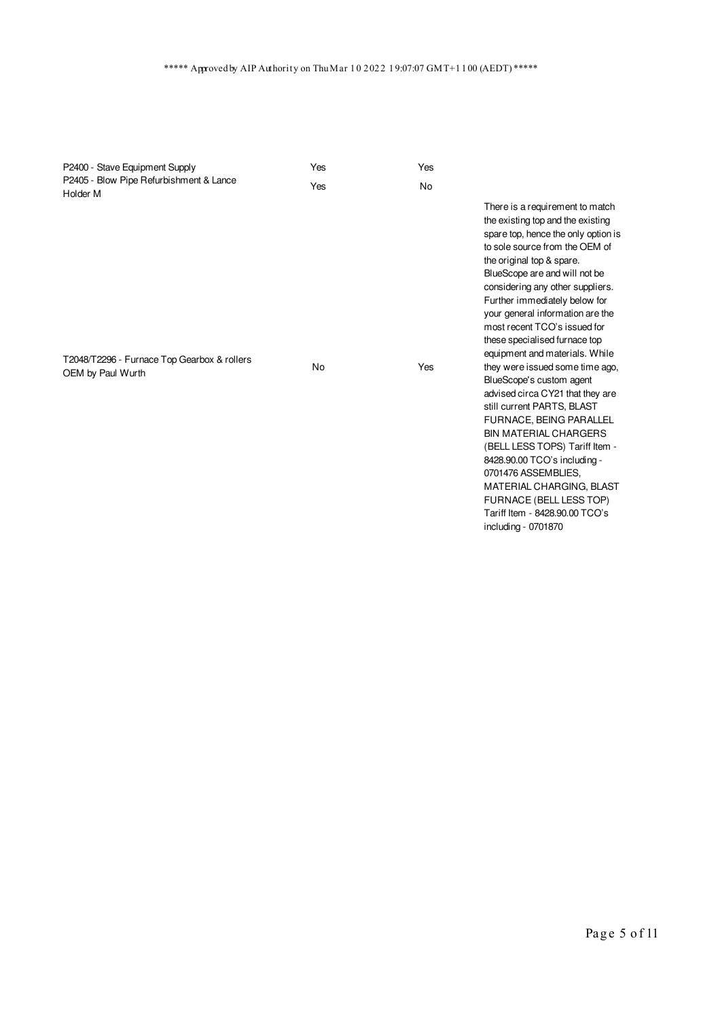| P2400 - Stave Equipment Supply                                               | Yes | Yes       |                                                                                                                                                                                                                                                                                                                                                                                                                                                                                                                                                                                                                                                                                                                                                                                                              |
|------------------------------------------------------------------------------|-----|-----------|--------------------------------------------------------------------------------------------------------------------------------------------------------------------------------------------------------------------------------------------------------------------------------------------------------------------------------------------------------------------------------------------------------------------------------------------------------------------------------------------------------------------------------------------------------------------------------------------------------------------------------------------------------------------------------------------------------------------------------------------------------------------------------------------------------------|
| P2405 - Blow Pipe Refurbishment & Lance                                      | Yes | <b>No</b> |                                                                                                                                                                                                                                                                                                                                                                                                                                                                                                                                                                                                                                                                                                                                                                                                              |
| Holder M<br>T2048/T2296 - Furnace Top Gearbox & rollers<br>OEM by Paul Wurth | No  | Yes       | There is a requirement to match<br>the existing top and the existing<br>spare top, hence the only option is<br>to sole source from the OEM of<br>the original top & spare.<br>BlueScope are and will not be<br>considering any other suppliers.<br>Further immediately below for<br>your general information are the<br>most recent TCO's issued for<br>these specialised furnace top<br>equipment and materials. While<br>they were issued some time ago,<br>BlueScope's custom agent<br>advised circa CY21 that they are<br>still current PARTS, BLAST<br><b>FURNACE, BEING PARALLEL</b><br><b>BIN MATERIAL CHARGERS</b><br>(BELL LESS TOPS) Tariff Item -<br>8428.90.00 TCO's including -<br>0701476 ASSEMBLIES.<br>MATERIAL CHARGING, BLAST<br>FURNACE (BELL LESS TOP)<br>Tariff Item - 8428.90.00 TCO's |
|                                                                              |     |           | including - 0701870                                                                                                                                                                                                                                                                                                                                                                                                                                                                                                                                                                                                                                                                                                                                                                                          |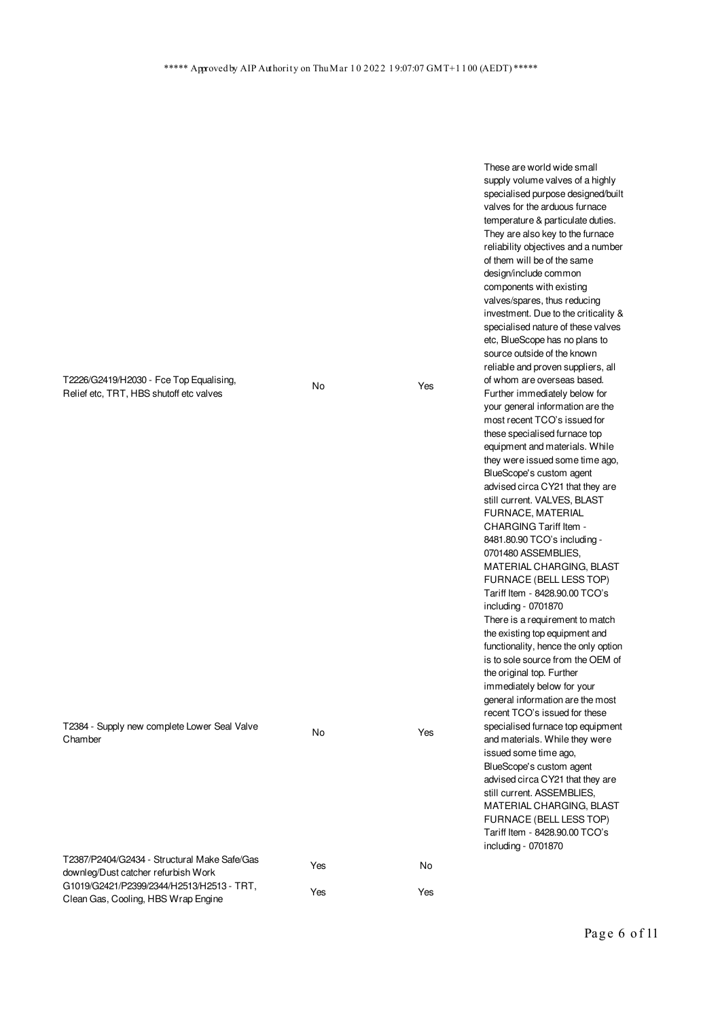T2226/G2419/H2030 - Fce Top Equalising, Relief etc, TRT, HBS shutoff etc valves

T2384 - Supply new complete Lower Seal Valve

T2387/P2404/G2434 - Structural Make Safe/Gas

G1019/G2421/P2399/2344/H2513/H2513 - TRT, Clean Gas, Cooling, HBS Wrap Engine

downleg/Dust catcher refurbish Work

Chamber

No Yes

No Yes

Yes No

Yes Yes

temperature & particulate duties. They are also key to the furnace reliability objectives and a number of them will be of the same design/include common components with existing valves/spares, thus reducing investment. Due to the criticality & specialised nature of these valves etc, BlueScope has no plans to source outside of the known reliable and proven suppliers, all of whom are overseas based. Further immediately below for your general information are the most recent TCO's issued for these specialised furnace top equipment and materials. While they were issued some time ago, BlueScope's custom agent advised circa CY21 that they are still current. VALVES, BLAST FURNACE, MATERIAL CHARGING Tariff Item - 8481.80.90 TCO's including - 0701480 ASSEMBLIES, MATERIAL CHARGING, BLAST FURNACE (BELL LESS TOP) Tariff Item - 8428.90.00 TCO's including - 0701870 There is a requirement to match the existing top equipment and functionality, hence the only option is to sole source from the OEM of the original top. Further immediately below for your

These are world wide small supply volume valves of a highly specialised purpose designed/built valves for the arduous furnace

general information are the most recent TCO's issued for these specialised furnace top equipment and materials. While they were issued some time ago, BlueScope's custom agent advised circa CY21 that they are still current. ASSEMBLIES, MATERIAL CHARGING, BLAST FURNACE (BELL LESS TOP) Tariff Item - 8428.90.00 TCO's

including - 0701870

Page 6 of 11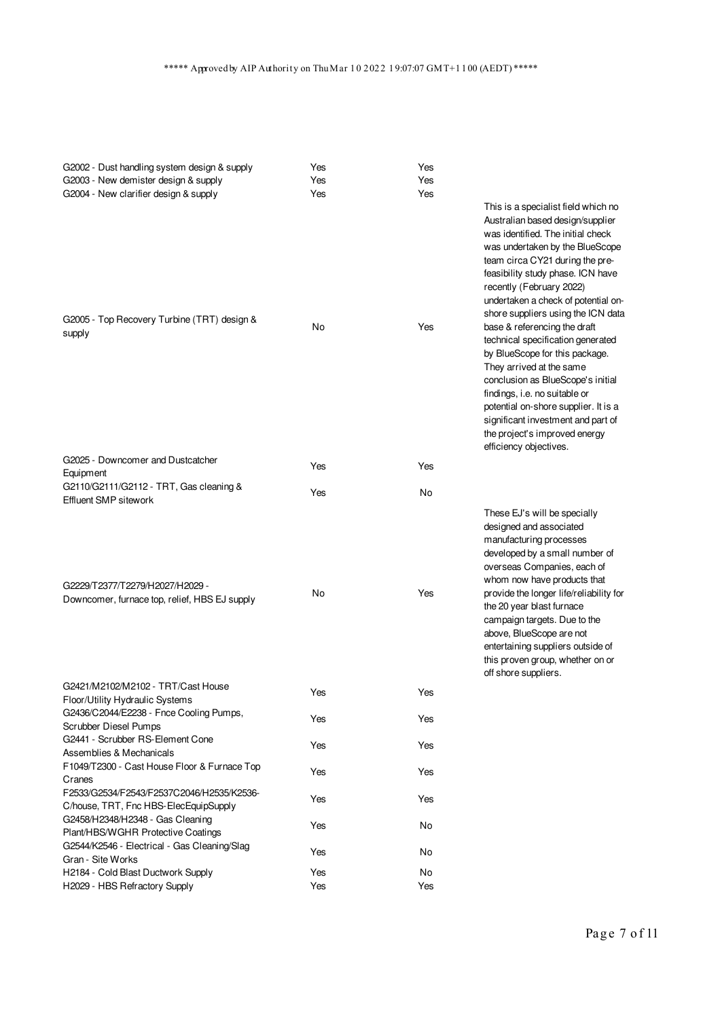| G2002 - Dust handling system design & supply<br>G2003 - New demister design & supply<br>G2004 - New clarifier design & supply | Yes<br>Yes<br>Yes | Yes<br>Yes<br>Yes | This is a specialist field which no<br>Australian based design/supplier<br>was identified. The initial check<br>was undertaken by the BlueScope<br>team circa CY21 during the pre-<br>feasibility study phase. ICN have<br>recently (February 2022)<br>undertaken a check of potential on-                                                                                                                              |
|-------------------------------------------------------------------------------------------------------------------------------|-------------------|-------------------|-------------------------------------------------------------------------------------------------------------------------------------------------------------------------------------------------------------------------------------------------------------------------------------------------------------------------------------------------------------------------------------------------------------------------|
| G2005 - Top Recovery Turbine (TRT) design &<br>supply                                                                         | No                | Yes               | shore suppliers using the ICN data<br>base & referencing the draft<br>technical specification generated<br>by BlueScope for this package.<br>They arrived at the same<br>conclusion as BlueScope's initial<br>findings, i.e. no suitable or<br>potential on-shore supplier. It is a<br>significant investment and part of<br>the project's improved energy<br>efficiency objectives.                                    |
| G2025 - Downcomer and Dustcatcher<br>Equipment                                                                                | Yes               | Yes               |                                                                                                                                                                                                                                                                                                                                                                                                                         |
| G2110/G2111/G2112 - TRT, Gas cleaning &<br>Effluent SMP sitework                                                              | Yes               | No                |                                                                                                                                                                                                                                                                                                                                                                                                                         |
| G2229/T2377/T2279/H2027/H2029 -<br>Downcomer, furnace top, relief, HBS EJ supply                                              | No                | Yes               | These EJ's will be specially<br>designed and associated<br>manufacturing processes<br>developed by a small number of<br>overseas Companies, each of<br>whom now have products that<br>provide the longer life/reliability for<br>the 20 year blast furnace<br>campaign targets. Due to the<br>above, BlueScope are not<br>entertaining suppliers outside of<br>this proven group, whether on or<br>off shore suppliers. |
| G2421/M2102/M2102 - TRT/Cast House                                                                                            | Yes               | Yes               |                                                                                                                                                                                                                                                                                                                                                                                                                         |
| Floor/Utility Hydraulic Systems<br>G2436/C2044/E2238 - Fnce Cooling Pumps,<br>Scrubber Diesel Pumps                           | Yes               | Yes               |                                                                                                                                                                                                                                                                                                                                                                                                                         |
| G2441 - Scrubber RS-Element Cone<br>Assemblies & Mechanicals                                                                  | Yes               | Yes               |                                                                                                                                                                                                                                                                                                                                                                                                                         |
| F1049/T2300 - Cast House Floor & Furnace Top<br>Cranes                                                                        | Yes               | Yes               |                                                                                                                                                                                                                                                                                                                                                                                                                         |
| F2533/G2534/F2543/F2537C2046/H2535/K2536-<br>C/house, TRT, Fnc HBS-ElecEquipSupply                                            | Yes               | Yes               |                                                                                                                                                                                                                                                                                                                                                                                                                         |
| G2458/H2348/H2348 - Gas Cleaning<br>Plant/HBS/WGHR Protective Coatings                                                        | Yes               | No                |                                                                                                                                                                                                                                                                                                                                                                                                                         |
| G2544/K2546 - Electrical - Gas Cleaning/Slag<br>Gran - Site Works                                                             | Yes               | No                |                                                                                                                                                                                                                                                                                                                                                                                                                         |
| H2184 - Cold Blast Ductwork Supply                                                                                            | Yes               | No                |                                                                                                                                                                                                                                                                                                                                                                                                                         |
| H2029 - HBS Refractory Supply                                                                                                 | Yes               | Yes               |                                                                                                                                                                                                                                                                                                                                                                                                                         |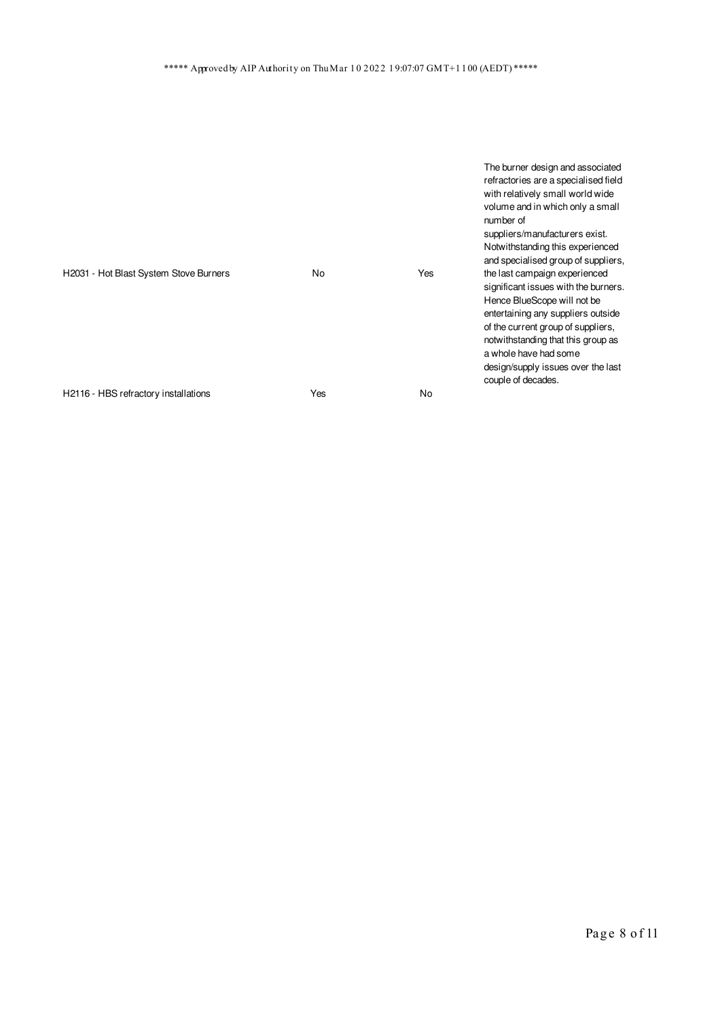|                                        |     |     | The burner design and associated<br>refractories are a specialised field<br>with relatively small world wide<br>volume and in which only a small<br>number of<br>suppliers/manufacturers exist.<br>Notwithstanding this experienced<br>and specialised group of suppliers, |
|----------------------------------------|-----|-----|----------------------------------------------------------------------------------------------------------------------------------------------------------------------------------------------------------------------------------------------------------------------------|
| H2031 - Hot Blast System Stove Burners | No  | Yes | the last campaign experienced<br>significant issues with the burners.                                                                                                                                                                                                      |
|                                        |     |     | Hence BlueScope will not be<br>entertaining any suppliers outside                                                                                                                                                                                                          |
|                                        |     |     | of the current group of suppliers,<br>notwithstanding that this group as                                                                                                                                                                                                   |
|                                        |     |     | a whole have had some                                                                                                                                                                                                                                                      |
|                                        |     |     | design/supply issues over the last<br>couple of decades.                                                                                                                                                                                                                   |
| H2116 - HBS refractory installations   | Yes | No  |                                                                                                                                                                                                                                                                            |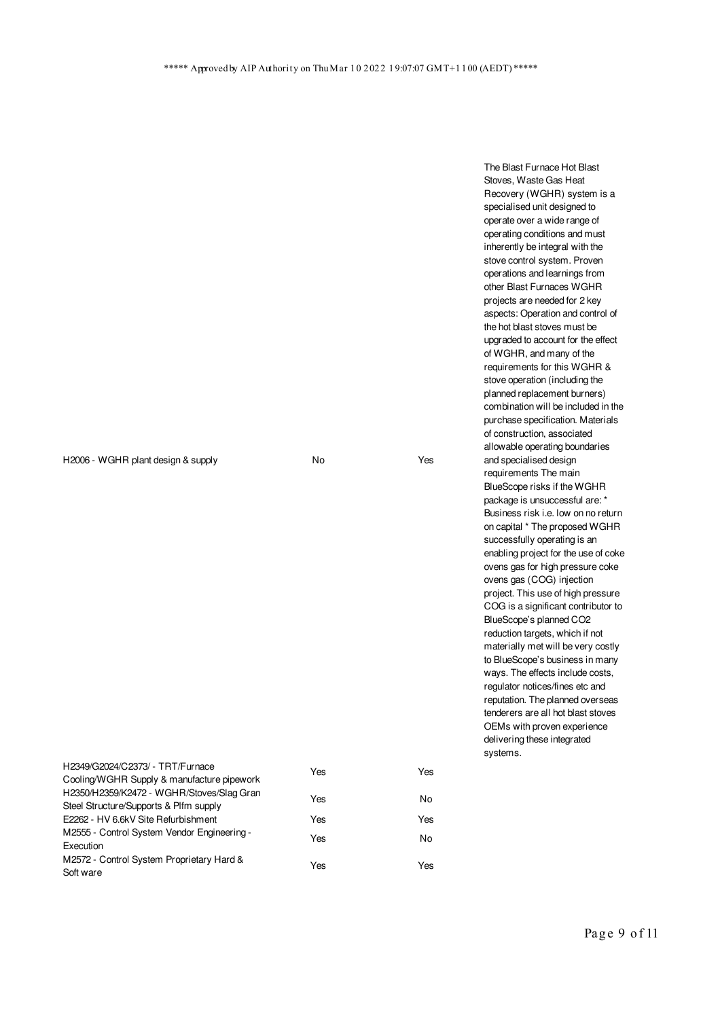H2006 - WGHR plant design & supply No No Yes

Stoves, Waste Gas Heat Recovery (WGHR) system is a specialised unit designed to operate over a wide range of operating conditions and must inherently be integral with the stove control system. Proven operations and learnings from other Blast Furnaces WGHR projects are needed for 2 key aspects: Operation and control of the hot blast stoves must be upgraded to account for the effect of WGHR, and many of the requirements for this WGHR & stove operation (including the planned replacement burners) combination will be included in the purchase specification. Materials of construction, associated allowable operating boundaries and specialised design requirements The main BlueScope risks if the WGHR package is unsuccessful are: \* Business risk i.e. low on no return on capital \* The proposed WGHR successfully operating is an enabling project for the use of coke ovens gas for high pressure coke ovens gas (COG) injection project. This use of high pressure COG is a significant contributor to BlueScope's planned CO2 reduction targets, which if not materially met will be very costly to BlueScope's business in many ways. The effects include costs, regulator notices/fines etc and reputation. The planned overseas tenderers are all hot blast stoves OEMs with proven experience delivering these integrated systems.

The Blast Furnace Hot Blast

| H2349/G2024/C2373/ - TRT/Furnace            | Yes | Yes |
|---------------------------------------------|-----|-----|
| Cooling/WGHR Supply & manufacture pipework  |     |     |
| H2350/H2359/K2472 - WGHR/Stoves/Slag Gran   | Yes | No  |
| Steel Structure/Supports & Plfm supply      |     |     |
| E2262 - HV 6.6kV Site Refurbishment         | Yes | Yes |
| M2555 - Control System Vendor Engineering - | Yes | No  |
| Execution                                   |     |     |
| M2572 - Control System Proprietary Hard &   | Yes | Yes |
| Soft ware                                   |     |     |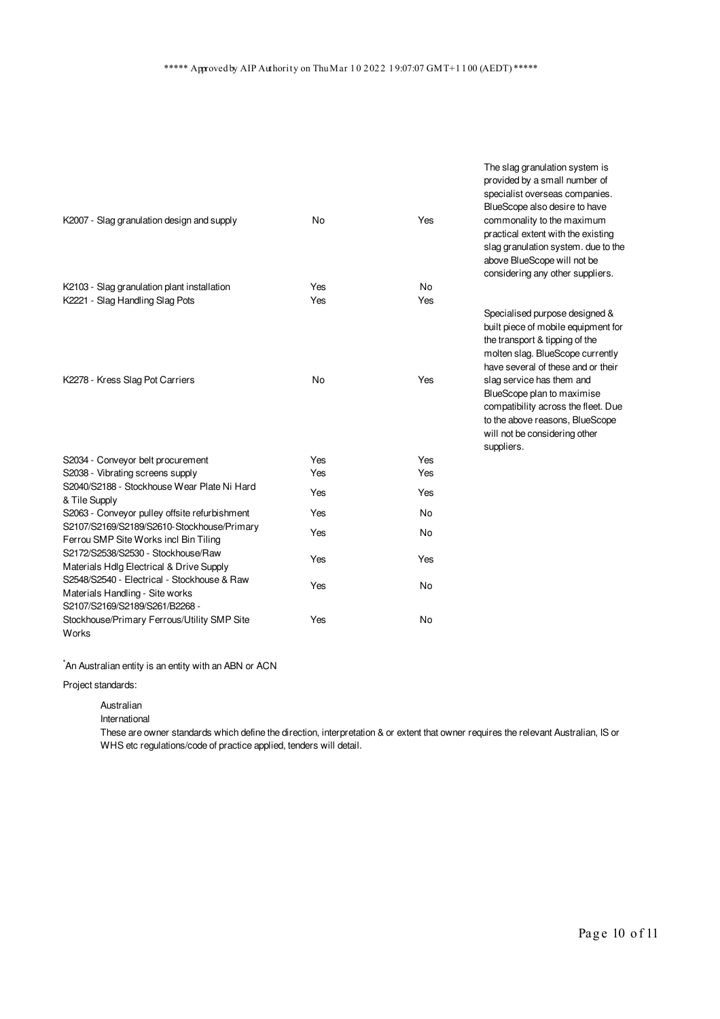The slag granulation system is provided by a small number of

|                                                                                                                  |     |           | specialist overseas companies.<br>BlueScope also desire to have                                                                                                                   |
|------------------------------------------------------------------------------------------------------------------|-----|-----------|-----------------------------------------------------------------------------------------------------------------------------------------------------------------------------------|
| K2007 - Slag granulation design and supply                                                                       | No  | Yes       | commonality to the maximum<br>practical extent with the existing<br>slag granulation system. due to the                                                                           |
|                                                                                                                  |     |           | above BlueScope will not be<br>considering any other suppliers.                                                                                                                   |
| K2103 - Slag granulation plant installation                                                                      | Yes | <b>No</b> |                                                                                                                                                                                   |
| K2221 - Slag Handling Slag Pots                                                                                  | Yes | Yes       |                                                                                                                                                                                   |
|                                                                                                                  |     |           | Specialised purpose designed &<br>built piece of mobile equipment for<br>the transport & tipping of the<br>molten slag. BlueScope currently<br>have several of these and or their |
| K2278 - Kress Slag Pot Carriers                                                                                  | No  | Yes       | slag service has them and<br>BlueScope plan to maximise<br>compatibility across the fleet. Due<br>to the above reasons, BlueScope<br>will not be considering other<br>suppliers.  |
| S2034 - Conveyor belt procurement                                                                                | Yes | Yes       |                                                                                                                                                                                   |
| S2038 - Vibrating screens supply                                                                                 | Yes | Yes       |                                                                                                                                                                                   |
| S2040/S2188 - Stockhouse Wear Plate Ni Hard<br>& Tile Supply                                                     | Yes | Yes       |                                                                                                                                                                                   |
| S2063 - Conveyor pulley offsite refurbishment                                                                    | Yes | <b>No</b> |                                                                                                                                                                                   |
| S2107/S2169/S2189/S2610-Stockhouse/Primary<br>Ferrou SMP Site Works incl Bin Tiling                              | Yes | No        |                                                                                                                                                                                   |
| S2172/S2538/S2530 - Stockhouse/Raw<br>Materials Hdlg Electrical & Drive Supply                                   | Yes | Yes       |                                                                                                                                                                                   |
| S2548/S2540 - Electrical - Stockhouse & Raw<br>Materials Handling - Site works<br>S2107/S2169/S2189/S261/B2268 - | Yes | No        |                                                                                                                                                                                   |
| Stockhouse/Primary Ferrous/Utility SMP Site                                                                      | Yes | <b>No</b> |                                                                                                                                                                                   |

Works

\*An Australian entity is an entity with an ABN or ACN

Project standards:

Australian

International

These are owner standards which define the direction, interpretation & or extent that owner requires the relevant Australian, IS or WHS etc regulations/code of practice applied, tenders will detail.